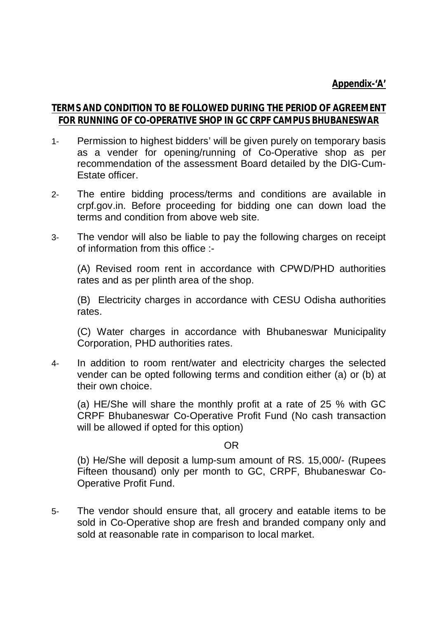## **Appendix-'A'**

## **TERMS AND CONDITION TO BE FOLLOWED DURING THE PERIOD OF AGREEMENT FOR RUNNING OF CO-OPERATIVE SHOP IN GC CRPF CAMPUS BHUBANESWAR**

- 1- Permission to highest bidders' will be given purely on temporary basis as a vender for opening/running of Co-Operative shop as per recommendation of the assessment Board detailed by the DIG-Cum-Estate officer.
- 2- The entire bidding process/terms and conditions are available in crpf.gov.in. Before proceeding for bidding one can down load the terms and condition from above web site.
- 3- The vendor will also be liable to pay the following charges on receipt of information from this office :-

(A) Revised room rent in accordance with CPWD/PHD authorities rates and as per plinth area of the shop.

(B) Electricity charges in accordance with CESU Odisha authorities rates.

(C) Water charges in accordance with Bhubaneswar Municipality Corporation, PHD authorities rates.

4- In addition to room rent/water and electricity charges the selected vender can be opted following terms and condition either (a) or (b) at their own choice.

(a) HE/She will share the monthly profit at a rate of 25 % with GC CRPF Bhubaneswar Co-Operative Profit Fund (No cash transaction will be allowed if opted for this option)

## OR

(b) He/She will deposit a lump-sum amount of RS. 15,000/- (Rupees Fifteen thousand) only per month to GC, CRPF, Bhubaneswar Co-Operative Profit Fund.

5- The vendor should ensure that, all grocery and eatable items to be sold in Co-Operative shop are fresh and branded company only and sold at reasonable rate in comparison to local market.